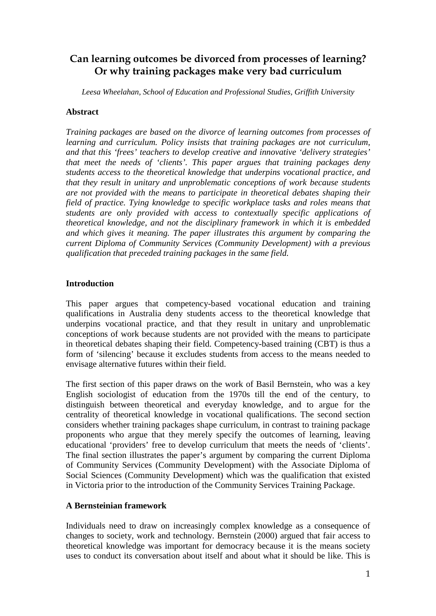# Can learning outcomes be divorced from processes of learning? Or why training packages make very bad curriculum

*Leesa Wheelahan, School of Education and Professional Studies, Griffith University* 

## **Abstract**

*Training packages are based on the divorce of learning outcomes from processes of learning and curriculum. Policy insists that training packages are not curriculum, and that this 'frees' teachers to develop creative and innovative 'delivery strategies' that meet the needs of 'clients'. This paper argues that training packages deny students access to the theoretical knowledge that underpins vocational practice, and that they result in unitary and unproblematic conceptions of work because students are not provided with the means to participate in theoretical debates shaping their field of practice. Tying knowledge to specific workplace tasks and roles means that students are only provided with access to contextually specific applications of theoretical knowledge, and not the disciplinary framework in which it is embedded and which gives it meaning. The paper illustrates this argument by comparing the current Diploma of Community Services (Community Development) with a previous qualification that preceded training packages in the same field.* 

# **Introduction**

This paper argues that competency-based vocational education and training qualifications in Australia deny students access to the theoretical knowledge that underpins vocational practice, and that they result in unitary and unproblematic conceptions of work because students are not provided with the means to participate in theoretical debates shaping their field. Competency-based training (CBT) is thus a form of 'silencing' because it excludes students from access to the means needed to envisage alternative futures within their field.

The first section of this paper draws on the work of Basil Bernstein, who was a key English sociologist of education from the 1970s till the end of the century, to distinguish between theoretical and everyday knowledge, and to argue for the centrality of theoretical knowledge in vocational qualifications. The second section considers whether training packages shape curriculum, in contrast to training package proponents who argue that they merely specify the outcomes of learning, leaving educational 'providers' free to develop curriculum that meets the needs of 'clients'. The final section illustrates the paper's argument by comparing the current Diploma of Community Services (Community Development) with the Associate Diploma of Social Sciences (Community Development) which was the qualification that existed in Victoria prior to the introduction of the Community Services Training Package.

#### **A Bernsteinian framework**

Individuals need to draw on increasingly complex knowledge as a consequence of changes to society, work and technology. Bernstein (2000) argued that fair access to theoretical knowledge was important for democracy because it is the means society uses to conduct its conversation about itself and about what it should be like. This is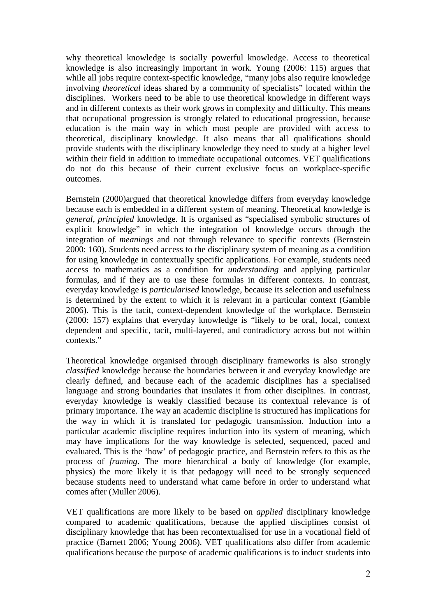why theoretical knowledge is socially powerful knowledge. Access to theoretical knowledge is also increasingly important in work. Young (2006: 115) argues that while all jobs require context-specific knowledge, "many jobs also require knowledge involving *theoretical* ideas shared by a community of specialists" located within the disciplines. Workers need to be able to use theoretical knowledge in different ways and in different contexts as their work grows in complexity and difficulty. This means that occupational progression is strongly related to educational progression, because education is the main way in which most people are provided with access to theoretical, disciplinary knowledge. It also means that all qualifications should provide students with the disciplinary knowledge they need to study at a higher level within their field in addition to immediate occupational outcomes. VET qualifications do not do this because of their current exclusive focus on workplace-specific outcomes.

Bernstein (2000)argued that theoretical knowledge differs from everyday knowledge because each is embedded in a different system of meaning. Theoretical knowledge is *general, principled* knowledge. It is organised as "specialised symbolic structures of explicit knowledge" in which the integration of knowledge occurs through the integration of *meanings* and not through relevance to specific contexts (Bernstein 2000: 160). Students need access to the disciplinary system of meaning as a condition for using knowledge in contextually specific applications. For example, students need access to mathematics as a condition for *understanding* and applying particular formulas, and if they are to use these formulas in different contexts. In contrast, everyday knowledge is *particularised* knowledge, because its selection and usefulness is determined by the extent to which it is relevant in a particular context (Gamble 2006). This is the tacit, context-dependent knowledge of the workplace. Bernstein (2000: 157) explains that everyday knowledge is "likely to be oral, local, context dependent and specific, tacit, multi-layered, and contradictory across but not within contexts."

Theoretical knowledge organised through disciplinary frameworks is also strongly *classified* knowledge because the boundaries between it and everyday knowledge are clearly defined, and because each of the academic disciplines has a specialised language and strong boundaries that insulates it from other disciplines. In contrast, everyday knowledge is weakly classified because its contextual relevance is of primary importance. The way an academic discipline is structured has implications for the way in which it is translated for pedagogic transmission. Induction into a particular academic discipline requires induction into its system of meaning, which may have implications for the way knowledge is selected, sequenced, paced and evaluated. This is the 'how' of pedagogic practice, and Bernstein refers to this as the process of *framing*. The more hierarchical a body of knowledge (for example, physics) the more likely it is that pedagogy will need to be strongly sequenced because students need to understand what came before in order to understand what comes after (Muller 2006).

VET qualifications are more likely to be based on *applied* disciplinary knowledge compared to academic qualifications, because the applied disciplines consist of disciplinary knowledge that has been recontextualised for use in a vocational field of practice (Barnett 2006; Young 2006). VET qualifications also differ from academic qualifications because the purpose of academic qualifications is to induct students into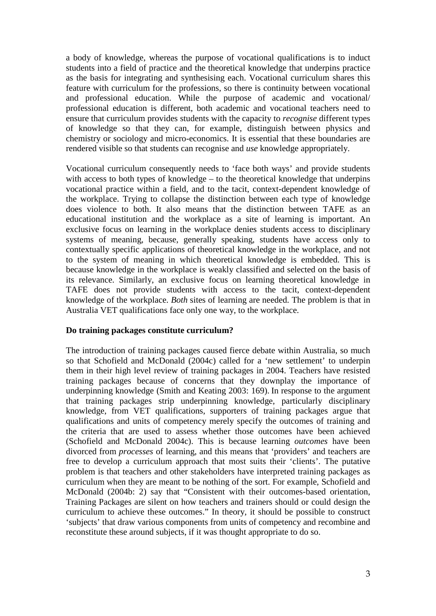a body of knowledge, whereas the purpose of vocational qualifications is to induct students into a field of practice and the theoretical knowledge that underpins practice as the basis for integrating and synthesising each. Vocational curriculum shares this feature with curriculum for the professions, so there is continuity between vocational and professional education. While the purpose of academic and vocational/ professional education is different, both academic and vocational teachers need to ensure that curriculum provides students with the capacity to *recognise* different types of knowledge so that they can, for example, distinguish between physics and chemistry or sociology and micro-economics. It is essential that these boundaries are rendered visible so that students can recognise and *use* knowledge appropriately.

Vocational curriculum consequently needs to 'face both ways' and provide students with access to both types of knowledge – to the theoretical knowledge that underpins vocational practice within a field, and to the tacit, context-dependent knowledge of the workplace. Trying to collapse the distinction between each type of knowledge does violence to both. It also means that the distinction between TAFE as an educational institution and the workplace as a site of learning is important. An exclusive focus on learning in the workplace denies students access to disciplinary systems of meaning, because, generally speaking, students have access only to contextually specific applications of theoretical knowledge in the workplace, and not to the system of meaning in which theoretical knowledge is embedded. This is because knowledge in the workplace is weakly classified and selected on the basis of its relevance. Similarly, an exclusive focus on learning theoretical knowledge in TAFE does not provide students with access to the tacit, context-dependent knowledge of the workplace. *Both* sites of learning are needed. The problem is that in Australia VET qualifications face only one way, to the workplace.

#### **Do training packages constitute curriculum?**

The introduction of training packages caused fierce debate within Australia, so much so that Schofield and McDonald (2004c) called for a 'new settlement' to underpin them in their high level review of training packages in 2004. Teachers have resisted training packages because of concerns that they downplay the importance of underpinning knowledge (Smith and Keating 2003: 169). In response to the argument that training packages strip underpinning knowledge, particularly disciplinary knowledge, from VET qualifications, supporters of training packages argue that qualifications and units of competency merely specify the outcomes of training and the criteria that are used to assess whether those outcomes have been achieved (Schofield and McDonald 2004c). This is because learning *outcomes* have been divorced from *processes* of learning, and this means that 'providers' and teachers are free to develop a curriculum approach that most suits their 'clients'. The putative problem is that teachers and other stakeholders have interpreted training packages as curriculum when they are meant to be nothing of the sort. For example, Schofield and McDonald (2004b: 2) say that "Consistent with their outcomes-based orientation, Training Packages are silent on how teachers and trainers should or could design the curriculum to achieve these outcomes." In theory, it should be possible to construct 'subjects' that draw various components from units of competency and recombine and reconstitute these around subjects, if it was thought appropriate to do so.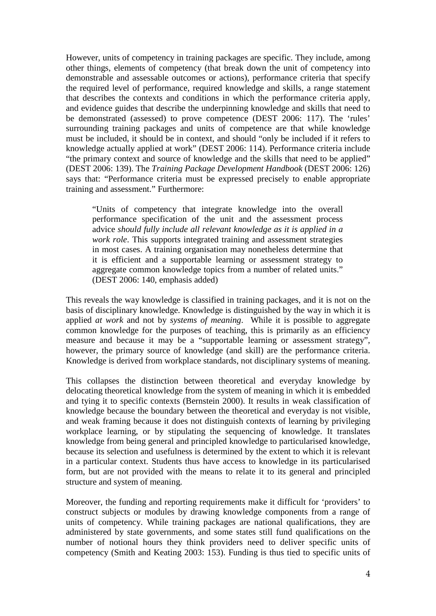However, units of competency in training packages are specific. They include, among other things, elements of competency (that break down the unit of competency into demonstrable and assessable outcomes or actions), performance criteria that specify the required level of performance, required knowledge and skills, a range statement that describes the contexts and conditions in which the performance criteria apply, and evidence guides that describe the underpinning knowledge and skills that need to be demonstrated (assessed) to prove competence (DEST 2006: 117). The 'rules' surrounding training packages and units of competence are that while knowledge must be included, it should be in context, and should "only be included if it refers to knowledge actually applied at work" (DEST 2006: 114). Performance criteria include "the primary context and source of knowledge and the skills that need to be applied" (DEST 2006: 139). The *Training Package Development Handbook* (DEST 2006: 126) says that: "Performance criteria must be expressed precisely to enable appropriate training and assessment." Furthermore:

"Units of competency that integrate knowledge into the overall performance specification of the unit and the assessment process advice *should fully include all relevant knowledge as it is applied in a work role*. This supports integrated training and assessment strategies in most cases. A training organisation may nonetheless determine that it is efficient and a supportable learning or assessment strategy to aggregate common knowledge topics from a number of related units." (DEST 2006: 140, emphasis added)

This reveals the way knowledge is classified in training packages, and it is not on the basis of disciplinary knowledge. Knowledge is distinguished by the way in which it is applied *at work* and not by *systems of meaning*. While it is possible to aggregate common knowledge for the purposes of teaching, this is primarily as an efficiency measure and because it may be a "supportable learning or assessment strategy", however, the primary source of knowledge (and skill) are the performance criteria. Knowledge is derived from workplace standards, not disciplinary systems of meaning.

This collapses the distinction between theoretical and everyday knowledge by delocating theoretical knowledge from the system of meaning in which it is embedded and tying it to specific contexts (Bernstein 2000). It results in weak classification of knowledge because the boundary between the theoretical and everyday is not visible, and weak framing because it does not distinguish contexts of learning by privileging workplace learning, or by stipulating the sequencing of knowledge. It translates knowledge from being general and principled knowledge to particularised knowledge, because its selection and usefulness is determined by the extent to which it is relevant in a particular context. Students thus have access to knowledge in its particularised form, but are not provided with the means to relate it to its general and principled structure and system of meaning.

Moreover, the funding and reporting requirements make it difficult for 'providers' to construct subjects or modules by drawing knowledge components from a range of units of competency. While training packages are national qualifications, they are administered by state governments, and some states still fund qualifications on the number of notional hours they think providers need to deliver specific units of competency (Smith and Keating 2003: 153). Funding is thus tied to specific units of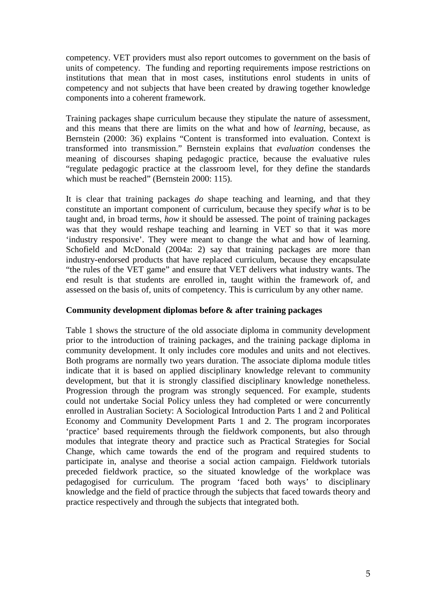competency. VET providers must also report outcomes to government on the basis of units of competency. The funding and reporting requirements impose restrictions on institutions that mean that in most cases, institutions enrol students in units of competency and not subjects that have been created by drawing together knowledge components into a coherent framework.

Training packages shape curriculum because they stipulate the nature of assessment, and this means that there are limits on the what and how of *learning*, because, as Bernstein (2000: 36) explains "Content is transformed into evaluation. Context is transformed into transmission." Bernstein explains that *evaluation* condenses the meaning of discourses shaping pedagogic practice, because the evaluative rules "regulate pedagogic practice at the classroom level, for they define the standards which must be reached" (Bernstein 2000: 115).

It is clear that training packages *do* shape teaching and learning, and that they constitute an important component of curriculum, because they specify *what* is to be taught and, in broad terms, *how* it should be assessed. The point of training packages was that they would reshape teaching and learning in VET so that it was more 'industry responsive'. They were meant to change the what and how of learning. Schofield and McDonald (2004a: 2) say that training packages are more than industry-endorsed products that have replaced curriculum, because they encapsulate "the rules of the VET game" and ensure that VET delivers what industry wants. The end result is that students are enrolled in, taught within the framework of, and assessed on the basis of, units of competency. This is curriculum by any other name.

#### **Community development diplomas before & after training packages**

Table 1 shows the structure of the old associate diploma in community development prior to the introduction of training packages, and the training package diploma in community development. It only includes core modules and units and not electives. Both programs are normally two years duration. The associate diploma module titles indicate that it is based on applied disciplinary knowledge relevant to community development, but that it is strongly classified disciplinary knowledge nonetheless. Progression through the program was strongly sequenced. For example, students could not undertake Social Policy unless they had completed or were concurrently enrolled in Australian Society: A Sociological Introduction Parts 1 and 2 and Political Economy and Community Development Parts 1 and 2. The program incorporates 'practice' based requirements through the fieldwork components, but also through modules that integrate theory and practice such as Practical Strategies for Social Change, which came towards the end of the program and required students to participate in, analyse and theorise a social action campaign. Fieldwork tutorials preceded fieldwork practice, so the situated knowledge of the workplace was pedagogised for curriculum. The program 'faced both ways' to disciplinary knowledge and the field of practice through the subjects that faced towards theory and practice respectively and through the subjects that integrated both.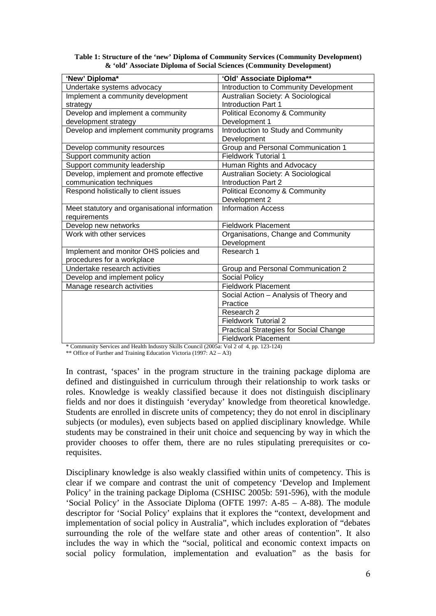|  |                                                                      | Table 1: Structure of the 'new' Diploma of Community Services (Community Development) |
|--|----------------------------------------------------------------------|---------------------------------------------------------------------------------------|
|  | & 'old' Associate Diploma of Social Sciences (Community Development) |                                                                                       |

| 'New' Diploma*                                | 'Old' Associate Diploma**                     |  |  |
|-----------------------------------------------|-----------------------------------------------|--|--|
| Undertake systems advocacy                    | Introduction to Community Development         |  |  |
| Implement a community development             | Australian Society: A Sociological            |  |  |
| strategy                                      | <b>Introduction Part 1</b>                    |  |  |
| Develop and implement a community             | <b>Political Economy &amp; Community</b>      |  |  |
| development strategy                          | Development 1                                 |  |  |
| Develop and implement community programs      | Introduction to Study and Community           |  |  |
|                                               | Development                                   |  |  |
| Develop community resources                   | Group and Personal Communication 1            |  |  |
| Support community action                      | <b>Fieldwork Tutorial 1</b>                   |  |  |
| Support community leadership                  | Human Rights and Advocacy                     |  |  |
| Develop, implement and promote effective      | Australian Society: A Sociological            |  |  |
| communication techniques                      | <b>Introduction Part 2</b>                    |  |  |
| Respond holistically to client issues         | <b>Political Economy &amp; Community</b>      |  |  |
|                                               | Development 2                                 |  |  |
| Meet statutory and organisational information | <b>Information Access</b>                     |  |  |
| requirements                                  |                                               |  |  |
| Develop new networks                          | <b>Fieldwork Placement</b>                    |  |  |
| Work with other services                      | Organisations, Change and Community           |  |  |
|                                               | Development                                   |  |  |
| Implement and monitor OHS policies and        | Research 1                                    |  |  |
| procedures for a workplace                    |                                               |  |  |
| Undertake research activities                 | Group and Personal Communication 2            |  |  |
| Develop and implement policy                  | <b>Social Policy</b>                          |  |  |
| Manage research activities                    | <b>Fieldwork Placement</b>                    |  |  |
|                                               | Social Action - Analysis of Theory and        |  |  |
|                                               | Practice                                      |  |  |
|                                               | Research 2                                    |  |  |
|                                               | <b>Fieldwork Tutorial 2</b>                   |  |  |
|                                               | <b>Practical Strategies for Social Change</b> |  |  |
|                                               | <b>Fieldwork Placement</b>                    |  |  |

\* Community Services and Health Industry Skills Council (2005a: Vol 2 of 4, pp. 123-124)

\*\* Office of Further and Training Education Victoria (1997: A2 – A3)

In contrast, 'spaces' in the program structure in the training package diploma are defined and distinguished in curriculum through their relationship to work tasks or roles. Knowledge is weakly classified because it does not distinguish disciplinary fields and nor does it distinguish 'everyday' knowledge from theoretical knowledge. Students are enrolled in discrete units of competency; they do not enrol in disciplinary subjects (or modules), even subjects based on applied disciplinary knowledge. While students may be constrained in their unit choice and sequencing by way in which the provider chooses to offer them, there are no rules stipulating prerequisites or corequisites.

Disciplinary knowledge is also weakly classified within units of competency. This is clear if we compare and contrast the unit of competency 'Develop and Implement Policy' in the training package Diploma (CSHISC 2005b: 591-596), with the module 'Social Policy' in the Associate Diploma (OFTE 1997: A-85 – A-88). The module descriptor for 'Social Policy' explains that it explores the "context, development and implementation of social policy in Australia", which includes exploration of "debates surrounding the role of the welfare state and other areas of contention". It also includes the way in which the "social, political and economic context impacts on social policy formulation, implementation and evaluation" as the basis for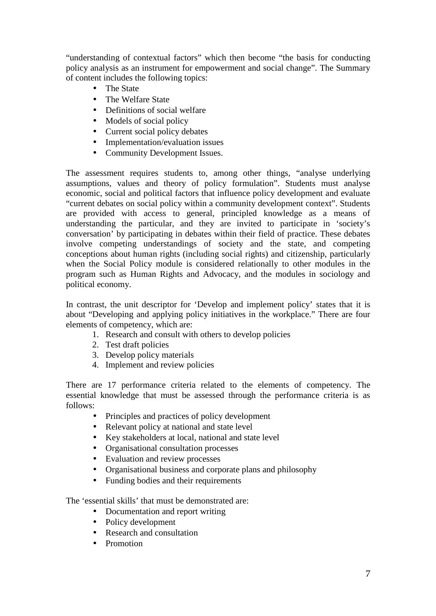"understanding of contextual factors" which then become "the basis for conducting policy analysis as an instrument for empowerment and social change". The Summary of content includes the following topics:

- The State
- The Welfare State
- Definitions of social welfare
- Models of social policy
- Current social policy debates
- Implementation/evaluation issues
- Community Development Issues.

The assessment requires students to, among other things, "analyse underlying assumptions, values and theory of policy formulation". Students must analyse economic, social and political factors that influence policy development and evaluate "current debates on social policy within a community development context". Students are provided with access to general, principled knowledge as a means of understanding the particular, and they are invited to participate in 'society's conversation' by participating in debates within their field of practice. These debates involve competing understandings of society and the state, and competing conceptions about human rights (including social rights) and citizenship, particularly when the Social Policy module is considered relationally to other modules in the program such as Human Rights and Advocacy, and the modules in sociology and political economy.

In contrast, the unit descriptor for 'Develop and implement policy' states that it is about "Developing and applying policy initiatives in the workplace." There are four elements of competency, which are:

- 1. Research and consult with others to develop policies
- 2. Test draft policies
- 3. Develop policy materials
- 4. Implement and review policies

There are 17 performance criteria related to the elements of competency. The essential knowledge that must be assessed through the performance criteria is as follows:

- Principles and practices of policy development
- Relevant policy at national and state level
- Key stakeholders at local, national and state level
- Organisational consultation processes
- Evaluation and review processes
- Organisational business and corporate plans and philosophy
- Funding bodies and their requirements

The 'essential skills' that must be demonstrated are:

- Documentation and report writing
- Policy development
- Research and consultation
- Promotion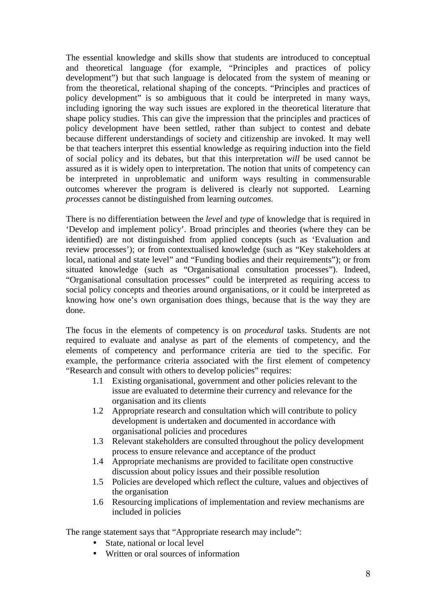The essential knowledge and skills show that students are introduced to conceptual and theoretical language (for example, "Principles and practices of policy development") but that such language is delocated from the system of meaning or from the theoretical, relational shaping of the concepts. "Principles and practices of policy development" is so ambiguous that it could be interpreted in many ways, including ignoring the way such issues are explored in the theoretical literature that shape policy studies. This can give the impression that the principles and practices of policy development have been settled, rather than subject to contest and debate because different understandings of society and citizenship are invoked. It may well be that teachers interpret this essential knowledge as requiring induction into the field of social policy and its debates, but that this interpretation *will* be used cannot be assured as it is widely open to interpretation. The notion that units of competency can be interpreted in unproblematic and uniform ways resulting in commensurable outcomes wherever the program is delivered is clearly not supported. Learning *processes* cannot be distinguished from learning *outcomes*.

There is no differentiation between the *level* and *type* of knowledge that is required in 'Develop and implement policy'. Broad principles and theories (where they can be identified) are not distinguished from applied concepts (such as 'Evaluation and review processes'); or from contextualised knowledge (such as "Key stakeholders at local, national and state level" and "Funding bodies and their requirements"); or from situated knowledge (such as "Organisational consultation processes"). Indeed, "Organisational consultation processes" could be interpreted as requiring access to social policy concepts and theories around organisations, or it could be interpreted as knowing how one's own organisation does things, because that is the way they are done.

The focus in the elements of competency is on *procedural* tasks. Students are not required to evaluate and analyse as part of the elements of competency, and the elements of competency and performance criteria are tied to the specific. For example, the performance criteria associated with the first element of competency "Research and consult with others to develop policies" requires:

- 1.1 Existing organisational, government and other policies relevant to the issue are evaluated to determine their currency and relevance for the organisation and its clients
- 1.2 Appropriate research and consultation which will contribute to policy development is undertaken and documented in accordance with organisational policies and procedures
- 1.3 Relevant stakeholders are consulted throughout the policy development process to ensure relevance and acceptance of the product
- 1.4 Appropriate mechanisms are provided to facilitate open constructive discussion about policy issues and their possible resolution
- 1.5 Policies are developed which reflect the culture, values and objectives of the organisation
- 1.6 Resourcing implications of implementation and review mechanisms are included in policies

The range statement says that "Appropriate research may include":

- State, national or local level
- Written or oral sources of information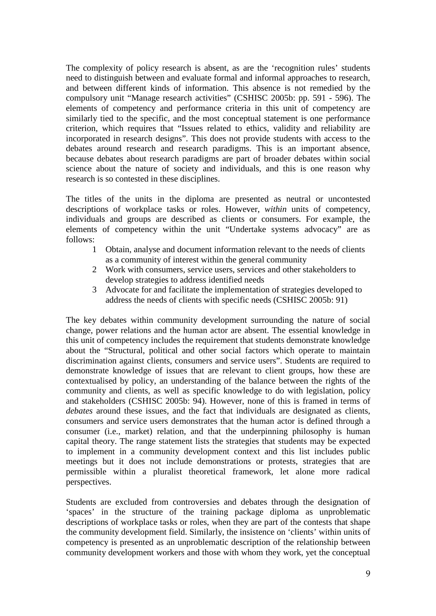The complexity of policy research is absent, as are the 'recognition rules' students need to distinguish between and evaluate formal and informal approaches to research, and between different kinds of information. This absence is not remedied by the compulsory unit "Manage research activities" (CSHISC 2005b: pp. 591 - 596). The elements of competency and performance criteria in this unit of competency are similarly tied to the specific, and the most conceptual statement is one performance criterion, which requires that "Issues related to ethics, validity and reliability are incorporated in research designs". This does not provide students with access to the debates around research and research paradigms. This is an important absence, because debates about research paradigms are part of broader debates within social science about the nature of society and individuals, and this is one reason why research is so contested in these disciplines.

The titles of the units in the diploma are presented as neutral or uncontested descriptions of workplace tasks or roles. However, *within* units of competency, individuals and groups are described as clients or consumers. For example, the elements of competency within the unit "Undertake systems advocacy" are as follows:

- 1 Obtain, analyse and document information relevant to the needs of clients as a community of interest within the general community
- 2 Work with consumers, service users, services and other stakeholders to develop strategies to address identified needs
- 3 Advocate for and facilitate the implementation of strategies developed to address the needs of clients with specific needs (CSHISC 2005b: 91)

The key debates within community development surrounding the nature of social change, power relations and the human actor are absent. The essential knowledge in this unit of competency includes the requirement that students demonstrate knowledge about the "Structural, political and other social factors which operate to maintain discrimination against clients, consumers and service users". Students are required to demonstrate knowledge of issues that are relevant to client groups, how these are contextualised by policy, an understanding of the balance between the rights of the community and clients, as well as specific knowledge to do with legislation, policy and stakeholders (CSHISC 2005b: 94). However, none of this is framed in terms of *debates* around these issues, and the fact that individuals are designated as clients, consumers and service users demonstrates that the human actor is defined through a consumer (i.e., market) relation, and that the underpinning philosophy is human capital theory. The range statement lists the strategies that students may be expected to implement in a community development context and this list includes public meetings but it does not include demonstrations or protests, strategies that are permissible within a pluralist theoretical framework, let alone more radical perspectives.

Students are excluded from controversies and debates through the designation of 'spaces' in the structure of the training package diploma as unproblematic descriptions of workplace tasks or roles, when they are part of the contests that shape the community development field. Similarly, the insistence on 'clients' within units of competency is presented as an unproblematic description of the relationship between community development workers and those with whom they work, yet the conceptual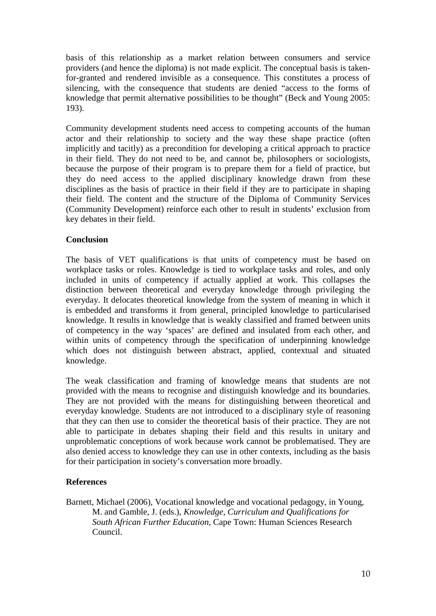basis of this relationship as a market relation between consumers and service providers (and hence the diploma) is not made explicit. The conceptual basis is takenfor-granted and rendered invisible as a consequence. This constitutes a process of silencing, with the consequence that students are denied "access to the forms of knowledge that permit alternative possibilities to be thought" (Beck and Young 2005: 193).

Community development students need access to competing accounts of the human actor and their relationship to society and the way these shape practice (often implicitly and tacitly) as a precondition for developing a critical approach to practice in their field. They do not need to be, and cannot be, philosophers or sociologists, because the purpose of their program is to prepare them for a field of practice, but they do need access to the applied disciplinary knowledge drawn from these disciplines as the basis of practice in their field if they are to participate in shaping their field. The content and the structure of the Diploma of Community Services (Community Development) reinforce each other to result in students' exclusion from key debates in their field.

## **Conclusion**

The basis of VET qualifications is that units of competency must be based on workplace tasks or roles. Knowledge is tied to workplace tasks and roles, and only included in units of competency if actually applied at work. This collapses the distinction between theoretical and everyday knowledge through privileging the everyday. It delocates theoretical knowledge from the system of meaning in which it is embedded and transforms it from general, principled knowledge to particularised knowledge. It results in knowledge that is weakly classified and framed between units of competency in the way 'spaces' are defined and insulated from each other, and within units of competency through the specification of underpinning knowledge which does not distinguish between abstract, applied, contextual and situated knowledge.

The weak classification and framing of knowledge means that students are not provided with the means to recognise and distinguish knowledge and its boundaries. They are not provided with the means for distinguishing between theoretical and everyday knowledge. Students are not introduced to a disciplinary style of reasoning that they can then use to consider the theoretical basis of their practice. They are not able to participate in debates shaping their field and this results in unitary and unproblematic conceptions of work because work cannot be problematised. They are also denied access to knowledge they can use in other contexts, including as the basis for their participation in society's conversation more broadly.

# **References**

Barnett, Michael (2006), Vocational knowledge and vocational pedagogy, in Young, M. and Gamble, J. (eds.), *Knowledge, Curriculum and Qualifications for South African Further Education*, Cape Town: Human Sciences Research Council.